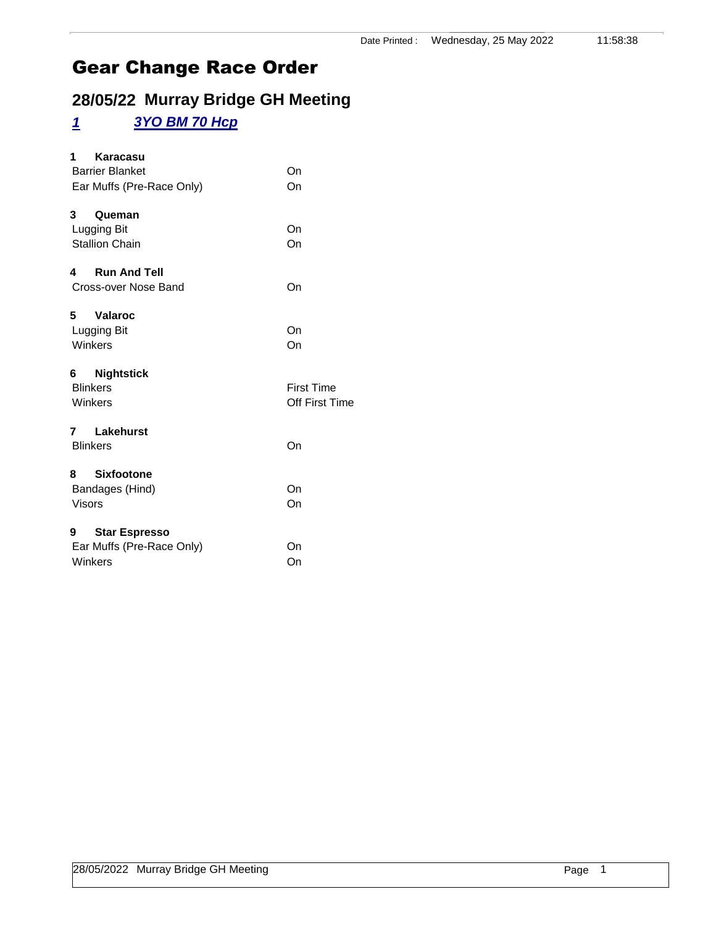## **28/05/22 Murray Bridge GH Meeting**

#### *1 3YO BM 70 Hcp*

| Karacasu<br>1<br><b>Barrier Blanket</b><br>Ear Muffs (Pre-Race Only) | On<br>On                                   |
|----------------------------------------------------------------------|--------------------------------------------|
| 3<br>Queman<br>Lugging Bit<br><b>Stallion Chain</b>                  | On<br>On                                   |
| <b>Run And Tell</b><br>4<br>Cross-over Nose Band                     | On                                         |
| 5<br><b>Valaroc</b><br>Lugging Bit<br>Winkers                        | On<br>On                                   |
| <b>Nightstick</b><br>6<br><b>Blinkers</b><br>Winkers                 | <b>First Time</b><br><b>Off First Time</b> |
| Lakehurst<br>$\mathbf{7}$<br><b>Blinkers</b>                         | On                                         |
| <b>Sixfootone</b><br>8<br>Bandages (Hind)<br><b>Visors</b>           | On<br>On                                   |
|                                                                      |                                            |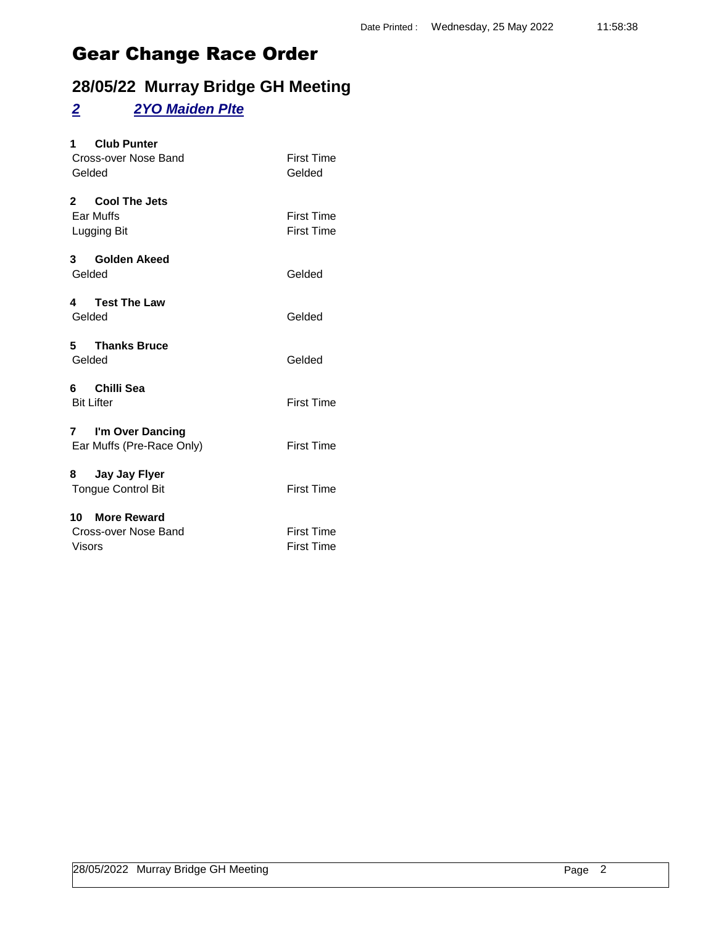### **28/05/22 Murray Bridge GH Meeting**

#### *2 2YO Maiden Plte*

| <b>Club Punter</b><br>$1 \quad$<br>Cross-over Nose Band<br>Gelded | <b>First Time</b><br>Gelded            |
|-------------------------------------------------------------------|----------------------------------------|
| 2 Cool The Jets<br>Ear Muffs<br>Lugging Bit                       | <b>First Time</b><br><b>First Time</b> |
| 3 Golden Akeed<br>Gelded                                          | Gelded                                 |
| 4 Test The Law<br>Gelded                                          | Gelded                                 |
| 5 Thanks Bruce<br>Gelded                                          | Gelded                                 |
| 6 Chilli Sea<br><b>Bit Lifter</b>                                 | <b>First Time</b>                      |
| 7 I'm Over Dancing<br>Ear Muffs (Pre-Race Only)                   | <b>First Time</b>                      |
| 8 Jay Jay Flyer<br><b>Tongue Control Bit</b>                      | <b>First Time</b>                      |
| 10 More Reward<br>Cross-over Nose Band<br><b>Visors</b>           | <b>First Time</b><br><b>First Time</b> |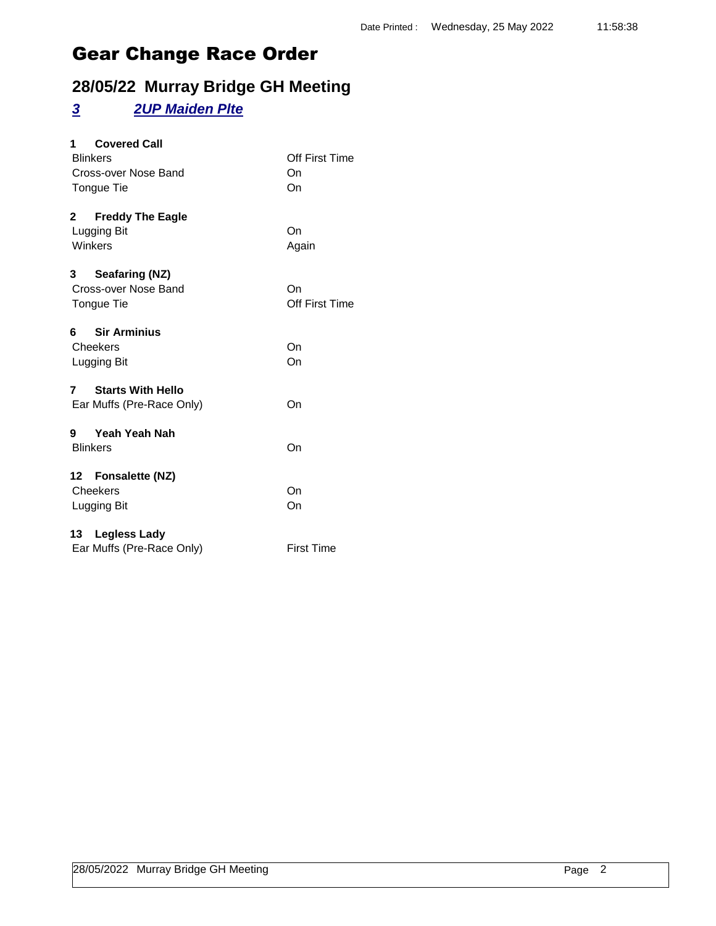### **28/05/22 Murray Bridge GH Meeting**

#### *3 2UP Maiden Plte*

| <b>Covered Call</b><br>1.<br><b>Blinkers</b><br>Cross-over Nose Band<br>Tongue Tie | Off First Time<br>On<br>On |
|------------------------------------------------------------------------------------|----------------------------|
| <b>Freddy The Eagle</b><br>2<br>Lugging Bit<br>Winkers                             | On<br>Again                |
| Seafaring (NZ)<br>3<br>Cross-over Nose Band<br>Tongue Tie                          | On<br>Off First Time       |
| 6 Sir Arminius<br>Cheekers<br>Lugging Bit                                          | On<br>On                   |
| <b>Starts With Hello</b><br>$\overline{7}$<br>Ear Muffs (Pre-Race Only)            | On                         |
| 9 Yeah Yeah Nah<br><b>Blinkers</b>                                                 | On                         |
| 12 Fonsalette (NZ)<br>Cheekers<br>Lugging Bit                                      | On<br>On                   |
| 13 Legless Lady<br>Ear Muffs (Pre-Race Only)                                       | <b>First Time</b>          |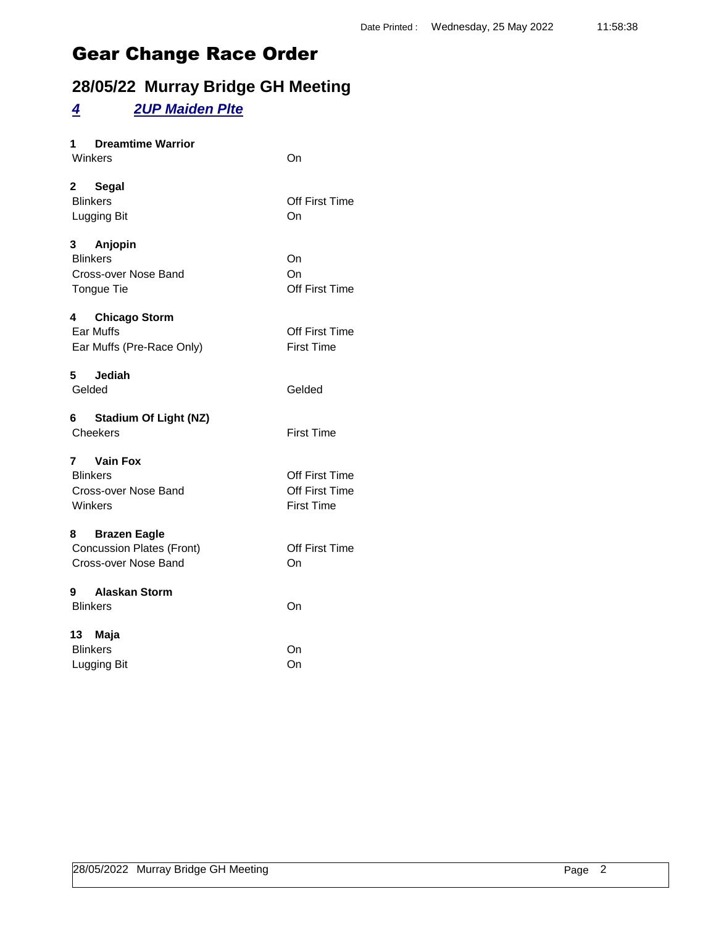### **28/05/22 Murray Bridge GH Meeting**

#### *4 2UP Maiden Plte*

| <b>Dreamtime Warrior</b> |    |
|--------------------------|----|
| Winkers                  | On |

| 2 Segal<br><b>Blinkers</b><br>Lugging Bit                                  | <b>Off First Time</b><br>On                           |
|----------------------------------------------------------------------------|-------------------------------------------------------|
| 3 Anjopin<br><b>Blinkers</b><br><b>Cross-over Nose Band</b><br>Tongue Tie  | On<br>On<br>Off First Time                            |
| 4 Chicago Storm<br>Ear Muffs<br>Ear Muffs (Pre-Race Only)                  | Off First Time<br><b>First Time</b>                   |
| 5 Jediah<br>Gelded                                                         | Gelded                                                |
| 6 Stadium Of Light (NZ)<br>Cheekers                                        | <b>First Time</b>                                     |
| 7 Vain Fox<br><b>Blinkers</b><br><b>Cross-over Nose Band</b><br>Winkers    | Off First Time<br>Off First Time<br><b>First Time</b> |
| 8 Brazen Eagle<br><b>Concussion Plates (Front)</b><br>Cross-over Nose Band | Off First Time<br>On                                  |
| 9 Alaskan Storm<br><b>Blinkers</b>                                         | On                                                    |
| 13 Maja<br><b>Blinkers</b><br>Lugging Bit                                  | On<br>On                                              |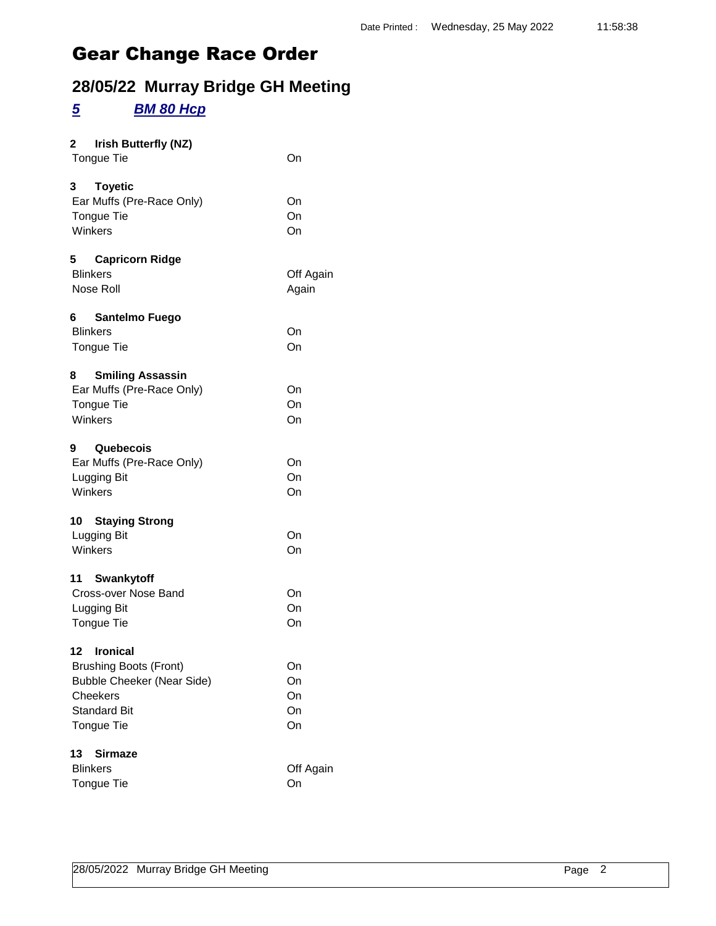### **28/05/22 Murray Bridge GH Meeting**

#### *5 BM 80 Hcp*

| $\overline{\mathbf{2}}$<br>Irish Butterfly (NZ)<br>Tongue Tie                                                                      | On                         |
|------------------------------------------------------------------------------------------------------------------------------------|----------------------------|
| $3^{\circ}$<br><b>Toyetic</b><br>Ear Muffs (Pre-Race Only)<br><b>Tongue Tie</b><br>Winkers                                         | On<br>On<br>On             |
| 5<br><b>Capricorn Ridge</b><br><b>Blinkers</b><br>Nose Roll                                                                        | Off Again<br>Again         |
| 6<br>Santelmo Fuego<br><b>Blinkers</b><br>Tongue Tie                                                                               | On<br>On                   |
| <b>Smiling Assassin</b><br>8<br>Ear Muffs (Pre-Race Only)<br>Tongue Tie<br>Winkers                                                 | On<br>On<br>On             |
| 9<br>Quebecois<br>Ear Muffs (Pre-Race Only)<br>Lugging Bit<br>Winkers                                                              | On<br>On<br>On             |
| 10<br><b>Staying Strong</b><br>Lugging Bit<br>Winkers                                                                              | On<br>On                   |
| 11 Swankytoff<br>Cross-over Nose Band<br>Lugging Bit<br><b>Tongue Tie</b>                                                          | On<br>On<br>On             |
| 12 Ironical<br><b>Brushing Boots (Front)</b><br><b>Bubble Cheeker (Near Side)</b><br>Cheekers<br><b>Standard Bit</b><br>Tongue Tie | On<br>On<br>On<br>On<br>On |
| 13<br>Sirmaze<br><b>Blinkers</b><br><b>Tongue Tie</b>                                                                              | Off Again<br>On            |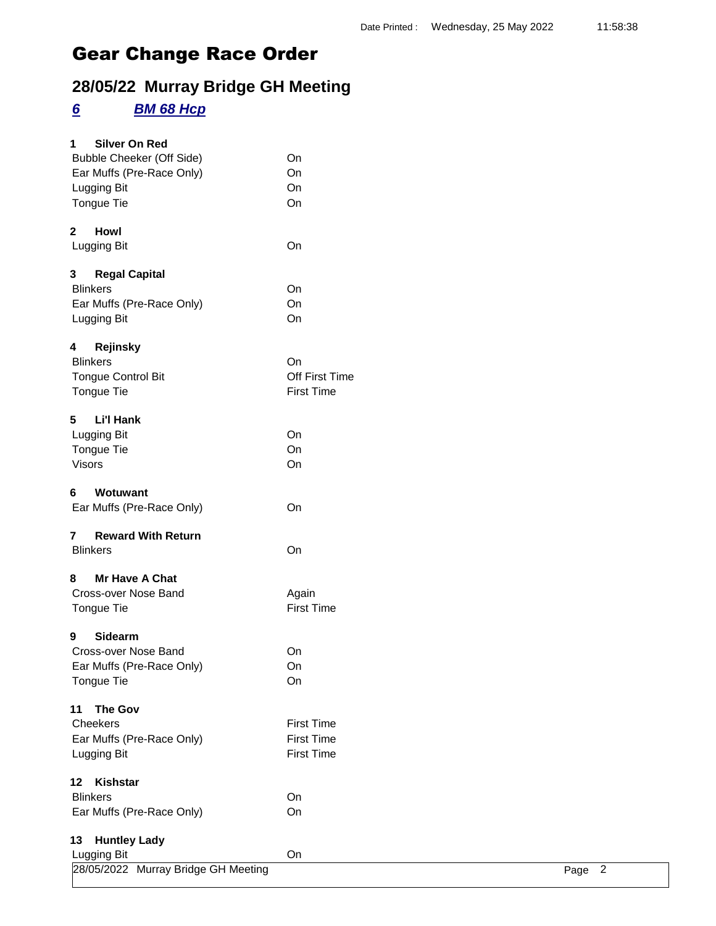## **28/05/22 Murray Bridge GH Meeting**

#### *6 BM 68 Hcp*

| 28/05/2022 Murray Bridge GH Meeting          |                   | Page 2 |
|----------------------------------------------|-------------------|--------|
| <b>Huntley Lady</b><br>13<br>Lugging Bit     | On                |        |
|                                              |                   |        |
| <b>Blinkers</b><br>Ear Muffs (Pre-Race Only) | On<br>On          |        |
| Kishstar<br>$12 \,$                          |                   |        |
|                                              |                   |        |
| Lugging Bit                                  | <b>First Time</b> |        |
| Ear Muffs (Pre-Race Only)                    | <b>First Time</b> |        |
| <b>The Gov</b><br>11<br>Cheekers             | <b>First Time</b> |        |
|                                              |                   |        |
| Tongue Tie                                   | On                |        |
| Ear Muffs (Pre-Race Only)                    | On                |        |
| Cross-over Nose Band                         | On                |        |
| Sidearm<br>9                                 |                   |        |
| Tongue Tie                                   | <b>First Time</b> |        |
| Cross-over Nose Band                         | Again             |        |
| Mr Have A Chat<br>8                          |                   |        |
| <b>Blinkers</b>                              | On                |        |
| <b>Reward With Return</b><br>$\overline{7}$  |                   |        |
| Wotuwant<br>6<br>Ear Muffs (Pre-Race Only)   | On                |        |
|                                              |                   |        |
| Visors                                       | On                |        |
| Tongue Tie                                   | On                |        |
| <b>Li'l Hank</b><br>5<br>Lugging Bit         | On                |        |
|                                              |                   |        |
| Tongue Tie                                   | <b>First Time</b> |        |
| <b>Tongue Control Bit</b>                    | Off First Time    |        |
| <b>Blinkers</b>                              | On                |        |
| Rejinsky<br>4                                |                   |        |
| Lugging Bit                                  | On                |        |
| Ear Muffs (Pre-Race Only)                    | On                |        |
| <b>Blinkers</b>                              | On                |        |
| <b>Regal Capital</b><br>3                    |                   |        |
| Lugging Bit                                  | On                |        |
| <b>Howl</b><br>$\mathbf{2}$                  |                   |        |
| Tongue Tie                                   | On                |        |
| Lugging Bit                                  | On                |        |
| Ear Muffs (Pre-Race Only)                    | On                |        |
| <b>Bubble Cheeker (Off Side)</b>             | On                |        |
| <b>Silver On Red</b><br>1                    |                   |        |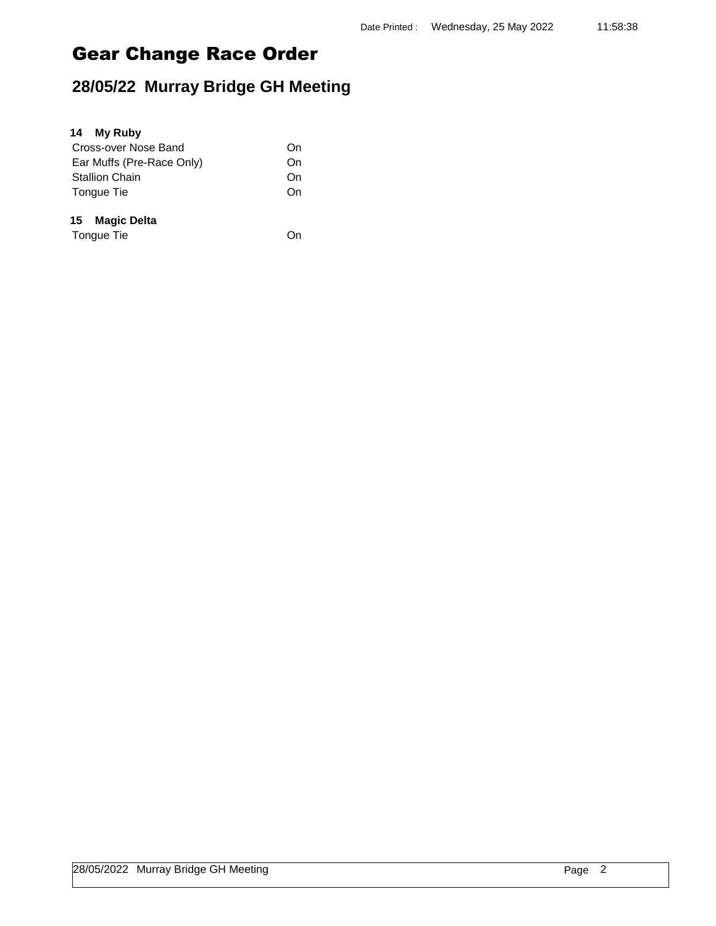| <b>My Ruby</b><br>14      |    |
|---------------------------|----|
| Cross-over Nose Band      | On |
| Ear Muffs (Pre-Race Only) | On |
| <b>Stallion Chain</b>     | On |
| Tongue Tie                | On |
| <b>Magic Delta</b><br>15  |    |
| Tongue Tie                |    |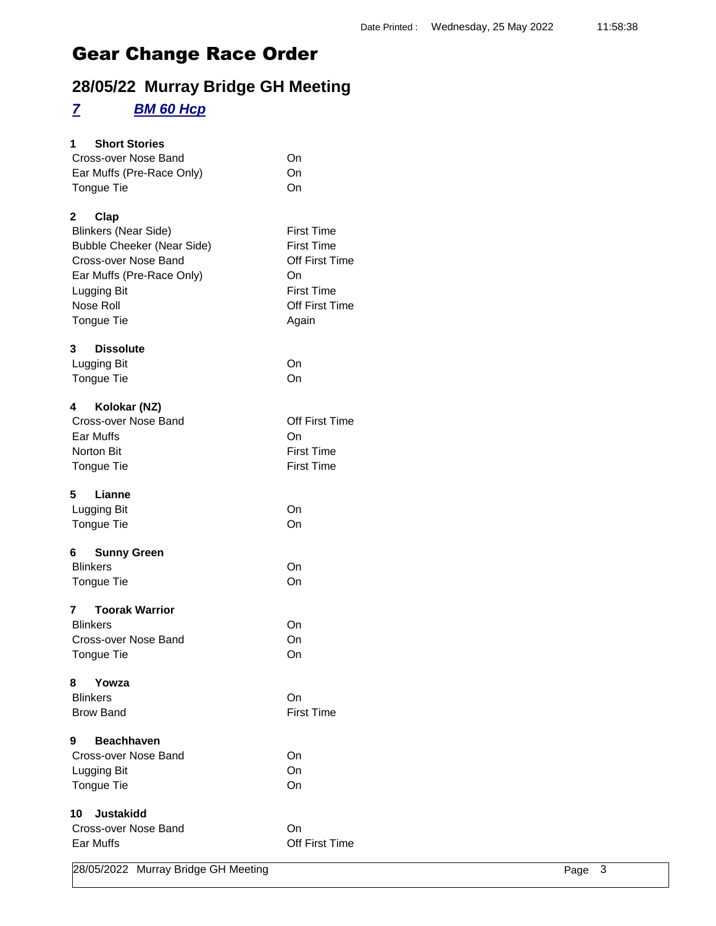### **28/05/22 Murray Bridge GH Meeting**

### *7 BM 60 Hcp*

| <b>Short Stories</b><br>1         |                       |
|-----------------------------------|-----------------------|
| Cross-over Nose Band              | On                    |
| Ear Muffs (Pre-Race Only)         | On                    |
| <b>Tongue Tie</b>                 | On                    |
|                                   |                       |
| 2<br>Clap                         |                       |
| <b>Blinkers (Near Side)</b>       | <b>First Time</b>     |
| <b>Bubble Cheeker (Near Side)</b> | <b>First Time</b>     |
| Cross-over Nose Band              | Off First Time        |
| Ear Muffs (Pre-Race Only)         | On                    |
| Lugging Bit                       | <b>First Time</b>     |
| Nose Roll                         | Off First Time        |
| <b>Tongue Tie</b>                 | Again                 |
| 3<br><b>Dissolute</b>             |                       |
| Lugging Bit                       | On                    |
| Tongue Tie                        | On                    |
|                                   |                       |
| Kolokar (NZ)<br>4                 |                       |
| Cross-over Nose Band              | <b>Off First Time</b> |
| Ear Muffs                         | On                    |
| <b>Norton Bit</b>                 | <b>First Time</b>     |
| Tongue Tie                        | <b>First Time</b>     |
| 5<br>Lianne                       |                       |
| <b>Lugging Bit</b>                | On                    |
| Tongue Tie                        | On                    |
|                                   |                       |
| <b>Sunny Green</b>                |                       |
| <b>Blinkers</b>                   | On                    |
| Tongue Tie                        | On                    |
| <b>Toorak Warrior</b><br>7        |                       |
| <b>Blinkers</b>                   | On                    |
| Cross-over Nose Band              | On                    |
| Tongue Tie                        | On                    |
|                                   |                       |
| 8<br>Yowza                        |                       |
| <b>Blinkers</b>                   | On                    |
| <b>Brow Band</b>                  | <b>First Time</b>     |
| 9<br><b>Beachhaven</b>            |                       |
| Cross-over Nose Band              | On                    |
| Lugging Bit                       | On                    |
| Tongue Tie                        | On                    |
|                                   |                       |
| Justakidd<br>10 -                 |                       |
| Cross-over Nose Band              | On                    |
| Ear Muffs                         | <b>Off First Time</b> |
|                                   |                       |

28/05/2022 Murray Bridge GH Meeting Page 3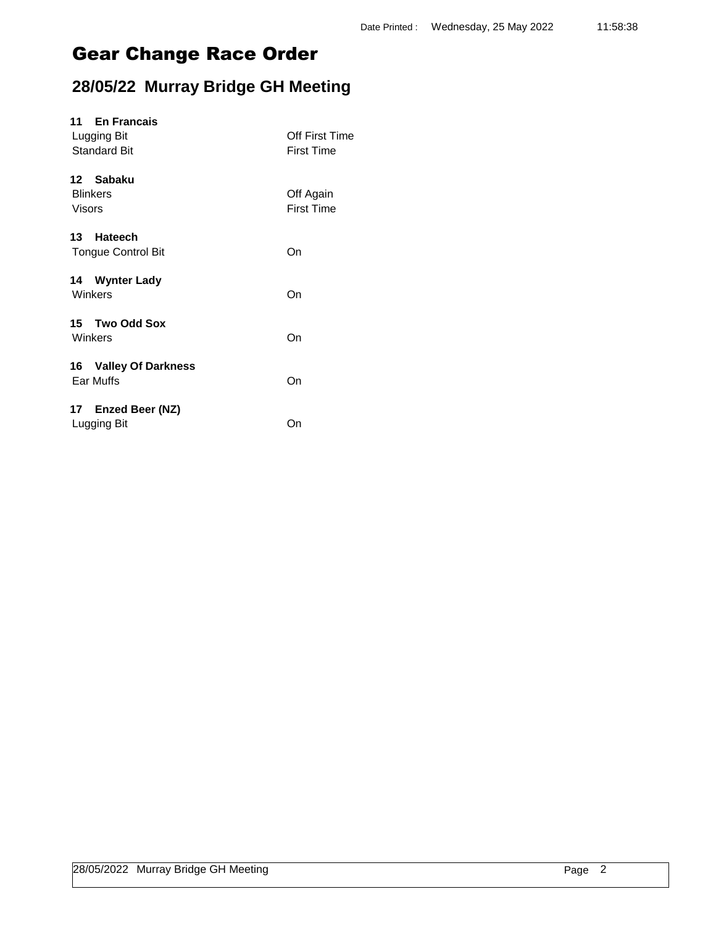| 11 En Francais<br>Lugging Bit<br><b>Standard Bit</b> | Off First Time<br><b>First Time</b> |
|------------------------------------------------------|-------------------------------------|
| 12 Sabaku<br><b>Blinkers</b><br><b>Visors</b>        | Off Again<br><b>First Time</b>      |
| 13 Hateech<br><b>Tongue Control Bit</b>              | On                                  |
| 14 Wynter Lady<br>Winkers                            | On                                  |
| 15 Two Odd Sox<br>Winkers                            | On                                  |
| 16 Valley Of Darkness<br>Ear Muffs                   | On                                  |
| 17 Enzed Beer (NZ)<br>Lugging Bit                    | On                                  |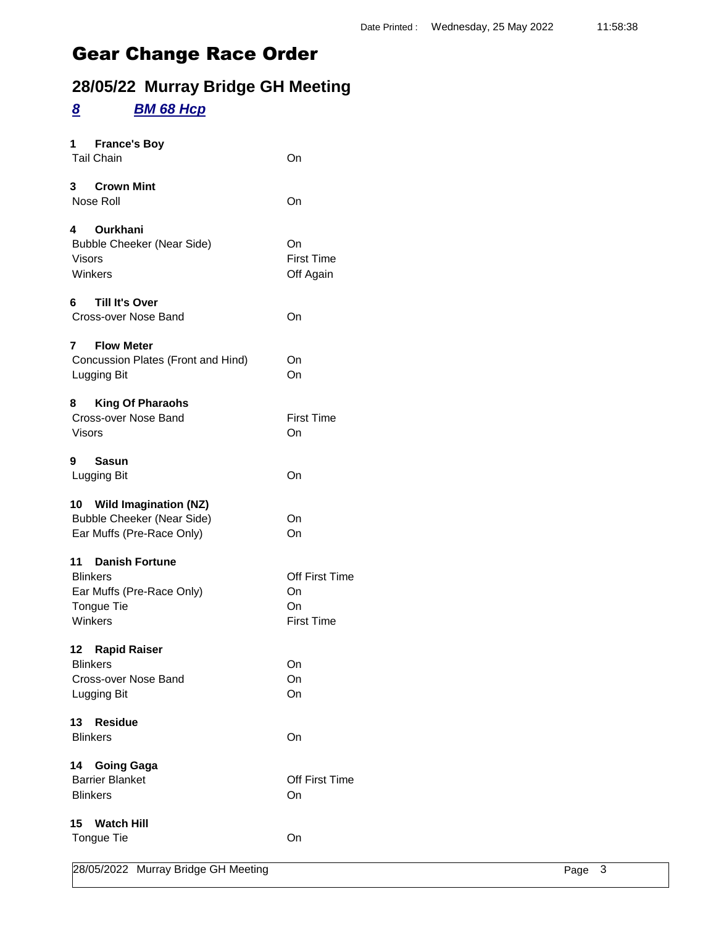### **28/05/22 Murray Bridge GH Meeting**

#### *8 BM 68 Hcp*

| <b>France's Boy</b><br>1 $\blacksquare$<br><b>Tail Chain</b>                                                         | On                                              |
|----------------------------------------------------------------------------------------------------------------------|-------------------------------------------------|
| 3 Crown Mint<br>Nose Roll                                                                                            | On                                              |
| 4 Ourkhani<br><b>Bubble Cheeker (Near Side)</b><br><b>Visors</b><br>Winkers                                          | On<br><b>First Time</b><br>Off Again            |
| <b>Till It's Over</b><br>Cross-over Nose Band                                                                        | On                                              |
| 7<br><b>Flow Meter</b><br>Concussion Plates (Front and Hind)<br>Lugging Bit                                          | On<br>On                                        |
| <b>King Of Pharaohs</b><br>8<br>Cross-over Nose Band<br><b>Visors</b>                                                | <b>First Time</b><br>On                         |
| 9<br>Sasun<br>Lugging Bit                                                                                            | On                                              |
| 10 Wild Imagination (NZ)<br><b>Bubble Cheeker (Near Side)</b><br>Ear Muffs (Pre-Race Only)                           | On<br>On                                        |
| 11 Danish Fortune<br><b>Blinkers</b><br>Ear Muffs (Pre-Race Only)<br><b>Tongue Tie</b><br>Winkers<br>12 Rapid Raiser | Off First Time<br>On<br>On<br><b>First Time</b> |
| <b>Blinkers</b><br>Cross-over Nose Band<br>Lugging Bit                                                               | On<br>On<br>On                                  |
| 13<br><b>Residue</b><br><b>Blinkers</b>                                                                              | On                                              |
| 14<br><b>Going Gaga</b><br><b>Barrier Blanket</b><br><b>Blinkers</b>                                                 | <b>Off First Time</b><br>On                     |
| 15<br><b>Watch Hill</b><br>Tongue Tie                                                                                | On                                              |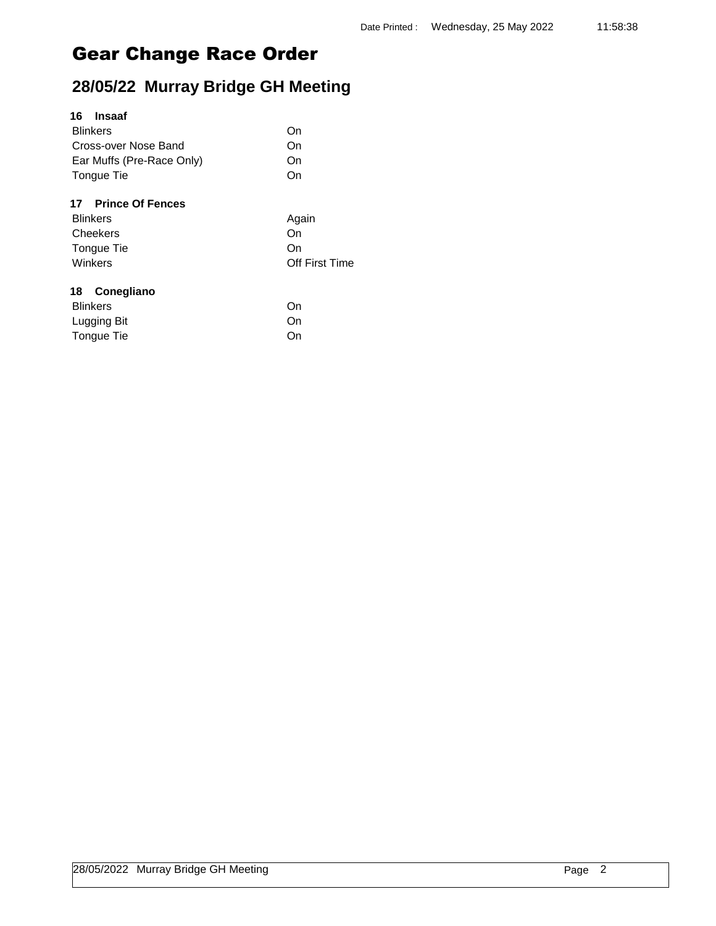### **28/05/22 Murray Bridge GH Meeting**

| 16<br>Insaaf              |                |
|---------------------------|----------------|
| <b>Blinkers</b>           | On             |
| Cross-over Nose Band      | On             |
| Ear Muffs (Pre-Race Only) | On             |
| Tongue Tie                | On             |
| 17 Prince Of Fences       |                |
| <b>Blinkers</b>           | Again          |
| Cheekers                  | On             |
| Tongue Tie                | On             |
| Winkers                   | Off First Time |
| Conegliano<br>18          |                |
| <b>Blinkers</b>           | On             |
| Lugging Bit               | Dn.            |

Tongue Tie On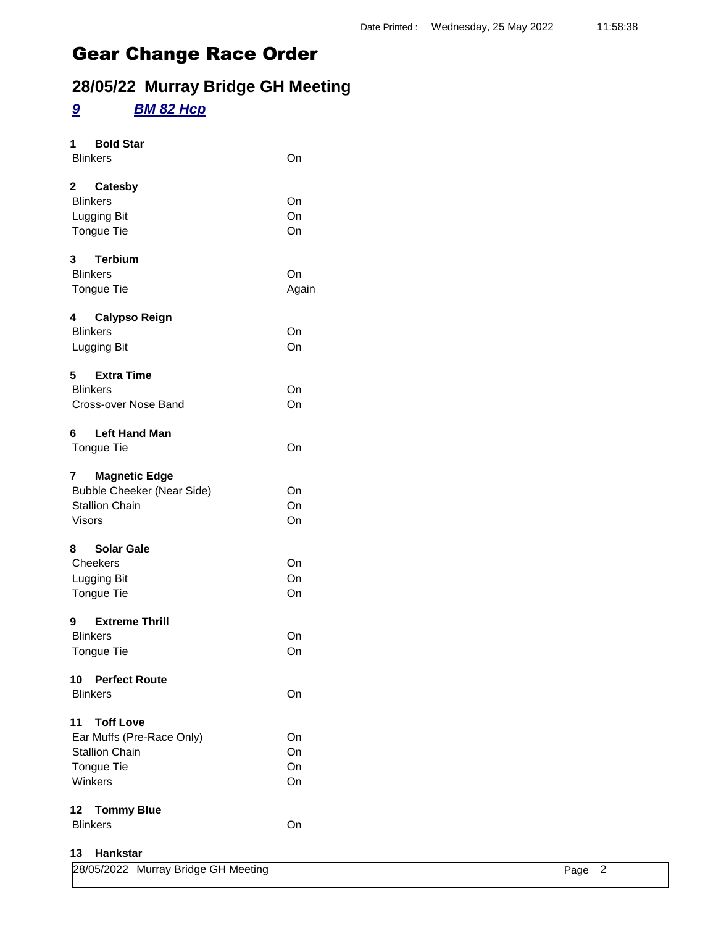## **28/05/22 Murray Bridge GH Meeting**

### *9 BM 82 Hcp*

| <b>Bold Star</b><br>1<br><b>Blinkers</b>                                                                     | On                   |
|--------------------------------------------------------------------------------------------------------------|----------------------|
| 2 Catesby<br><b>Blinkers</b><br>Lugging Bit<br><b>Tongue Tie</b>                                             | On<br>On<br>On       |
| 3 Terbium<br><b>Blinkers</b><br><b>Tongue Tie</b>                                                            | On<br>Again          |
| <b>Calypso Reign</b><br>4<br><b>Blinkers</b><br>Lugging Bit                                                  | On<br>On             |
| 5<br><b>Extra Time</b><br><b>Blinkers</b><br>Cross-over Nose Band                                            | On<br>On             |
| <b>Left Hand Man</b><br>6<br><b>Tongue Tie</b>                                                               | On                   |
| <b>Magnetic Edge</b><br>7<br><b>Bubble Cheeker (Near Side)</b><br><b>Stallion Chain</b><br><b>Visors</b>     | On<br>On<br>On       |
| <b>Solar Gale</b><br>8<br>Cheekers<br>Lugging Bit<br>Tongue Tie                                              | On<br>On<br>On       |
| 9<br><b>Extreme Thrill</b><br><b>Blinkers</b><br><b>Tongue Tie</b>                                           | On<br>On             |
| 10 Perfect Route<br><b>Blinkers</b>                                                                          | On                   |
| <b>Toff Love</b><br>11<br>Ear Muffs (Pre-Race Only)<br><b>Stallion Chain</b><br><b>Tongue Tie</b><br>Winkers | On<br>On<br>On<br>On |
| 12 Tommy Blue<br><b>Blinkers</b>                                                                             | On                   |
| 13 Hankstar                                                                                                  |                      |

| 28/05/2022 Murray Bridge GH Meeting | Page 2 |  |
|-------------------------------------|--------|--|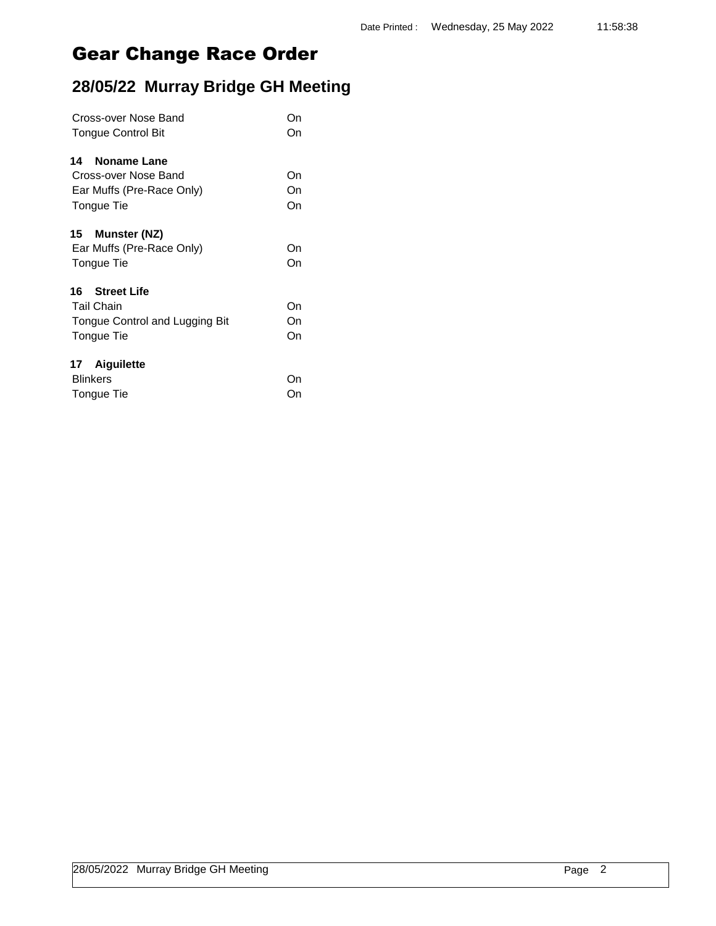| Cross-over Nose Band           |    |  |
|--------------------------------|----|--|
| <b>Tongue Control Bit</b>      | On |  |
| Noname Lane<br>14              |    |  |
| Cross-over Nose Band           | On |  |
| Ear Muffs (Pre-Race Only)      | On |  |
| Tongue Tie                     | On |  |
| Munster (NZ)<br>15             |    |  |
| Ear Muffs (Pre-Race Only)      | On |  |
| Tongue Tie                     | On |  |
| <b>Street Life</b><br>16.      |    |  |
| <b>Tail Chain</b>              | On |  |
| Tongue Control and Lugging Bit | On |  |
| Tongue Tie                     | On |  |
| 17 Aiguilette                  |    |  |
| <b>Blinkers</b>                | On |  |
| Tongue Tie                     | On |  |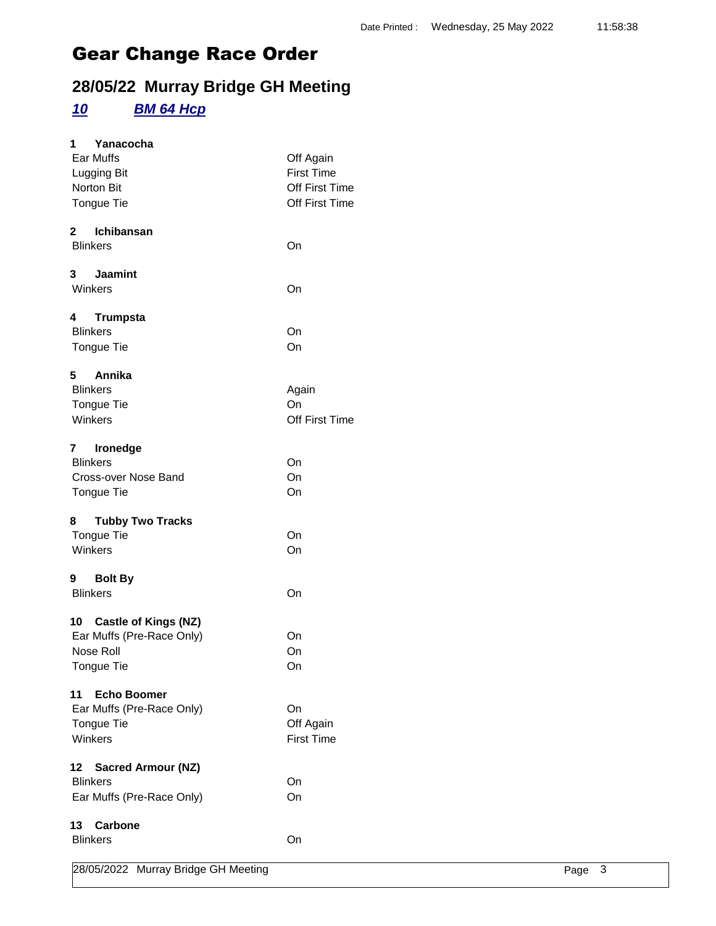## **28/05/22 Murray Bridge GH Meeting**

#### *10 BM 64 Hcp*

| 1.<br>Yanacocha                         |                   |
|-----------------------------------------|-------------------|
| Ear Muffs                               | Off Again         |
| Lugging Bit                             | <b>First Time</b> |
| Norton Bit                              | Off First Time    |
| Tongue Tie                              | Off First Time    |
|                                         |                   |
| 2 Ichibansan                            |                   |
| <b>Blinkers</b>                         | On                |
|                                         |                   |
| 3 Jaamint                               |                   |
| Winkers                                 | On                |
|                                         |                   |
| 4<br><b>Trumpsta</b>                    |                   |
| <b>Blinkers</b>                         | On                |
| <b>Tongue Tie</b>                       | On                |
|                                         |                   |
| Annika<br>5.                            |                   |
| <b>Blinkers</b>                         | Again             |
| Tongue Tie                              | On                |
| Winkers                                 | Off First Time    |
|                                         |                   |
| 7<br>Ironedge                           |                   |
| <b>Blinkers</b>                         | On                |
| Cross-over Nose Band                    | On                |
| <b>Tongue Tie</b>                       | On                |
|                                         |                   |
| 8 Tubby Two Tracks                      |                   |
| <b>Tongue Tie</b>                       | On                |
| Winkers                                 | On                |
|                                         |                   |
| 9 Bolt By                               |                   |
| <b>Blinkers</b>                         | On                |
|                                         |                   |
| 10 Castle of Kings (NZ)                 |                   |
| Ear Muffs (Pre-Race Only)               | On                |
| Nose Roll                               | On                |
| Tongue Tie                              | On                |
|                                         |                   |
| <b>Echo Boomer</b><br>11                |                   |
| Ear Muffs (Pre-Race Only)               | On                |
| <b>Tongue Tie</b>                       | Off Again         |
| Winkers                                 | <b>First Time</b> |
|                                         |                   |
| 12<br><b>Sacred Armour (NZ)</b>         |                   |
| <b>Blinkers</b>                         | On                |
| Ear Muffs (Pre-Race Only)               | On                |
|                                         |                   |
| 13<br><b>Carbone</b><br><b>Blinkers</b> |                   |
|                                         | On                |
| 00/05/0000 M                            |                   |

28/05/2022 Murray Bridge GH Meeting **Page 3** Page 3